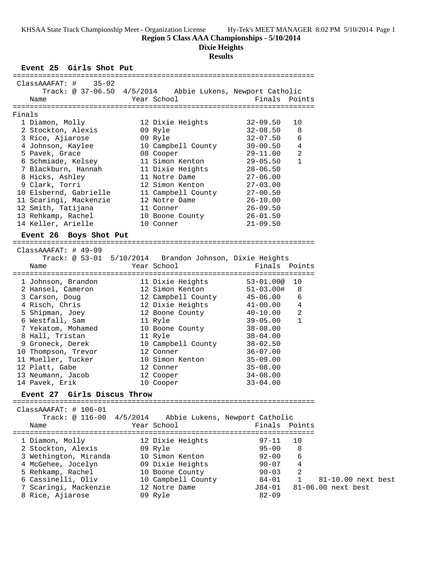**Region 5 Class AAA Championships - 5/10/2014**

**Dixie Heights**

# **Results**

# **Event 25 Girls Shot Put**

| $35 - 02$<br>$ClassAAAFAT: \#$                            |          |                                               |                                 |              |                    |  |
|-----------------------------------------------------------|----------|-----------------------------------------------|---------------------------------|--------------|--------------------|--|
| Track: @ 37-06.50 4/5/2014 Abbie Lukens, Newport Catholic |          |                                               |                                 |              |                    |  |
| Name                                                      |          | Year School                                   | Finals Points                   |              |                    |  |
|                                                           |          |                                               |                                 |              |                    |  |
| Finals                                                    |          |                                               |                                 |              |                    |  |
| 1 Diamon, Molly                                           |          | 12 Dixie Heights                              | $32 - 09.50$                    | 10           |                    |  |
| 2 Stockton, Alexis                                        |          | 09 Ryle                                       | $32 - 08.50$                    | 8            |                    |  |
| 3 Rice, Ajiarose                                          |          | 09 Ryle                                       | $32 - 07.50$                    | 6            |                    |  |
| 4 Johnson, Kaylee                                         |          | 10 Campbell County                            | $30 - 00.50$                    | 4            |                    |  |
| 5 Pavek, Grace                                            |          | 08 Cooper                                     | $29 - 11.00$                    | 2            |                    |  |
| 6 Schmiade, Kelsey                                        |          | 11 Simon Kenton                               | $29 - 05.50$                    | $\mathbf{1}$ |                    |  |
| 7 Blackburn, Hannah                                       |          | 11 Dixie Heights                              | $28 - 06.50$                    |              |                    |  |
| 8 Hicks, Ashley                                           |          | 11 Notre Dame                                 | $27 - 06.00$                    |              |                    |  |
| 9 Clark, Torri                                            |          | 12 Simon Kenton                               | $27 - 03.00$                    |              |                    |  |
| 10 Elsbernd, Gabrielle                                    |          | 11 Campbell County                            | $27 - 00.50$                    |              |                    |  |
| 11 Scaringi, Mackenzie                                    |          | 12 Notre Dame                                 | $26 - 10.00$                    |              |                    |  |
| 12 Smith, Tatijana                                        |          | 11 Conner                                     | $26 - 09.50$                    |              |                    |  |
| 13 Rehkamp, Rachel                                        |          | 10 Boone County                               | $26 - 01.50$                    |              |                    |  |
| 14 Keller, Arielle                                        |          | 10 Conner                                     | $21 - 09.50$                    |              |                    |  |
| Event 26 Boys Shot Put                                    |          |                                               |                                 |              |                    |  |
|                                                           |          |                                               |                                 |              |                    |  |
| $ClassAAAFAT: 49-09$                                      |          |                                               |                                 |              |                    |  |
| Track: $@ 53-01 5/10/2014$                                |          |                                               | Brandon Johnson, Dixie Heights  |              |                    |  |
| Name                                                      |          | Year School                                   | Finals Points                   |              |                    |  |
|                                                           |          |                                               |                                 |              |                    |  |
| 1 Johnson, Brandon                                        |          | 11 Dixie Heights                              | $53 - 01.00@$                   | 10           |                    |  |
| 2 Hansel, Cameron                                         |          | 12 Simon Kenton                               | $51 - 03.00$ #                  | 8            |                    |  |
| 3 Carson, Doug                                            |          | 12 Campbell County                            | $45 - 06.00$                    | 6            |                    |  |
| 4 Risch, Chris                                            |          | 12 Dixie Heights                              | 41-00.00                        | 4<br>2       |                    |  |
| 5 Shipman, Joey                                           |          | 12 Boone County                               | $40 - 10.00$<br>$39 - 05.00$    | $\mathbf{1}$ |                    |  |
| 6 Westfall, Sam                                           |          | 11 Ryle                                       |                                 |              |                    |  |
| 7 Yekatom, Mohamed                                        |          | 10 Boone County                               | $38 - 08.00$<br>$38 - 04.00$    |              |                    |  |
| 8 Hall, Tristan<br>9 Groneck, Derek                       |          | 11 Ryle<br>10 Campbell County                 | $38 - 02.50$                    |              |                    |  |
| 10 Thompson, Trevor                                       |          | 12 Conner                                     | $36 - 07.00$                    |              |                    |  |
| 11 Mueller, Tucker                                        |          | 10 Simon Kenton                               | $35 - 09.00$                    |              |                    |  |
| 12 Platt, Gabe                                            |          | 12 Conner                                     | $35 - 08.00$                    |              |                    |  |
| 13 Neumann, Jacob                                         |          | 12 Cooper                                     | $34 - 08.00$                    |              |                    |  |
| 14 Pavek, Erik                                            |          | 10 Cooper                                     | $33 - 04.00$                    |              |                    |  |
| Event 27 Girls Discus Throw                               |          |                                               |                                 |              |                    |  |
| ===============                                           |          |                                               |                                 |              |                    |  |
| ClassAAAFAT: # 106-01                                     |          |                                               |                                 |              |                    |  |
| Track: @ 116-00                                           | 4/5/2014 |                                               | Abbie Lukens, Newport Catholic  |              |                    |  |
| Name                                                      |          | Year School<br>------------------------------ | Finals                          | Points       |                    |  |
| =======================<br>1 Diamon, Molly                |          | 12 Dixie Heights                              | :=================<br>$97 - 11$ | 10           |                    |  |
| 2 Stockton, Alexis                                        |          | 09 Ryle                                       | $95 - 00$                       | 8            |                    |  |
| 3 Wethington, Miranda                                     |          | 10 Simon Kenton                               | $92 - 00$                       | 6            |                    |  |
| 4 McGehee, Jocelyn                                        |          | 09 Dixie Heights                              | $90 - 07$                       | 4            |                    |  |
| 5 Rehkamp, Rachel                                         |          | 10 Boone County                               | $90 - 03$                       | 2            |                    |  |
| 6 Cassinelli, Oliv                                        |          | 10 Campbell County                            | $84 - 01$                       | $\mathbf{1}$ | 81-10.00 next best |  |
| 7 Scaringi, Mackenzie                                     |          | 12 Notre Dame                                 | J84-01                          |              | 81-06.00 next best |  |
| 8 Rice, Ajiarose                                          |          | 09 Ryle                                       | $82 - 09$                       |              |                    |  |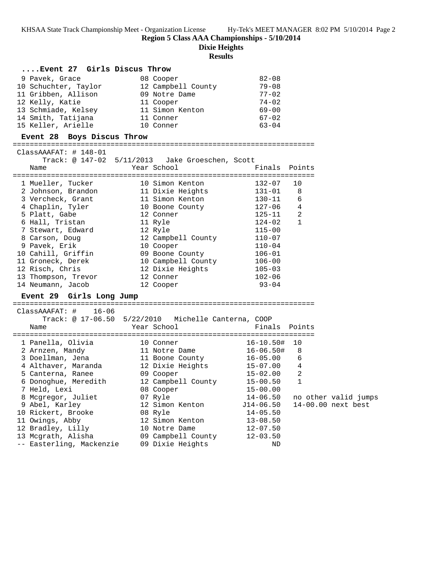**Region 5 Class AAA Championships - 5/10/2014**

**Dixie Heights**

### **Results**

# **....Event 27 Girls Discus Throw**

| 9 Pavek, Grace       | 08 Cooper          | $82 - 08$ |
|----------------------|--------------------|-----------|
| 10 Schuchter, Taylor | 12 Campbell County | $79 - 08$ |
| 11 Gribben, Allison  | 09 Notre Dame      | $77 - 02$ |
| 12 Kelly, Katie      | 11 Cooper          | $74 - 02$ |
| 13 Schmiade, Kelsey  | 11 Simon Kenton    | $69 - 00$ |
| 14 Smith, Tatijana   | 11 Conner          | $67 - 02$ |
| 15 Keller, Arielle   | 10 Conner          | $63 - 04$ |

#### **Event 28 Boys Discus Throw**

=======================================================================

| $ClassAAAFAT:  # 148-01$ |                    | Track: @ 147-02 5/11/2013 Jake Groeschen, Scott |               |              |
|--------------------------|--------------------|-------------------------------------------------|---------------|--------------|
| Name                     |                    | Year School                                     | Finals Points |              |
|                          | 1 Mueller, Tucker  | -----------<br>10 Simon Kenton                  | $132 - 07$    | 10           |
|                          | 2 Johnson, Brandon | 11 Dixie Heights                                | $131 - 01$    | 8            |
| 3 Vercheck, Grant        |                    | 11 Simon Kenton                                 | $130 - 11$    | 6            |
| 4 Chaplin, Tyler         |                    | 10 Boone County                                 | 127-06        | 4            |
| 5 Platt, Gabe            |                    | 12 Conner                                       | 125-11        | 2            |
| 6 Hall, Tristan          |                    | 11 Ryle                                         | 124-02        | $\mathbf{1}$ |
| 7 Stewart, Edward        |                    | 12 Ryle                                         | $115 - 00$    |              |
| 8 Carson, Doug           |                    | 12 Campbell County                              | $110 - 07$    |              |
| 9 Pavek, Erik            |                    | 10 Cooper                                       | $110 - 04$    |              |
| 10 Cahill, Griffin       |                    | 09 Boone County                                 | $106 - 01$    |              |
| 11 Groneck, Derek        |                    | 10 Campbell County                              | $106 - 00$    |              |
| 12 Risch, Chris          |                    | 12 Dixie Heights                                | $105 - 03$    |              |
| 13 Thompson, Trevor      |                    | 12 Conner                                       | $102 - 06$    |              |
| 14 Neumann, Jacob        |                    | 12 Cooper                                       | $93 - 04$     |              |

## **Event 29 Girls Long Jump** =======================================================================

 ClassAAAFAT: # 16-06 Track: @ 17-06.50 5/22/2010 Michelle Canterna, COOP Name Year School Finals Points ======================================================================= 1 Panella, Olivia 10 Conner 16-10.50# 10 2 Arnzen, Mandy 11 Notre Dame 16-06.50# 8 3 Doellman, Jena 11 Boone County 16-05.00 6 4 Althaver, Maranda 12 Dixie Heights 15-07.00 4 5 Canterna, Ranee 09 Cooper 15-02.00 2 6 Donoghue, Meredith 12 Campbell County 15-00.50 1 7 Held, Lexi 08 Cooper 15-00.00 8 Mcgregor, Juliet 07 Ryle 14-06.50 no other valid jumps 9 Abel, Karley 12 Simon Kenton J14-06.50 14-00.00 next best 10 Rickert, Brooke 08 Ryle 14-05.50 11 Owings, Abby 12 Simon Kenton 13-08.50 12 Bradley, Lilly 10 Notre Dame 12-07.50 13 Mcgrath, Alisha 09 Campbell County 12-03.50 -- Easterling, Mackenzie 09 Dixie Heights ND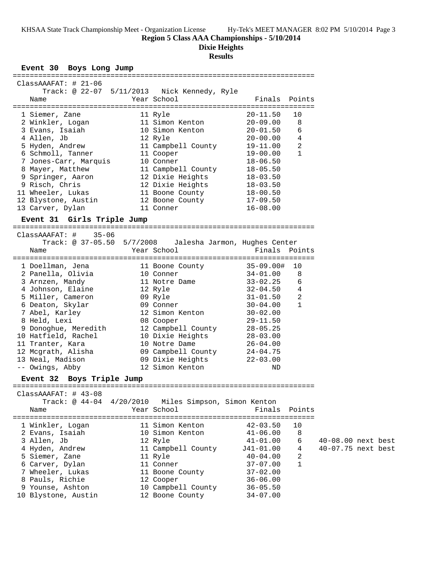**Region 5 Class AAA Championships - 5/10/2014**

**Dixie Heights**

# **Results**

# **Event 30 Boys Long Jump**

| Year School<br>Finals Points<br>Name<br>1 Siemer, Zane 11 Ryle 20-11.50 1<br>2 Winkler, Logan 11 Simon Kenton 20-09.00<br>3 Evans, Isaiah 10 Simon Kenton 20-01.50<br>4 Allen, Jb 12 Ryle 20-00.00<br>10<br>8<br>6<br>$20 - 00.00$ 4<br>5 Hyden, Andrew 11 Campbell County 19-11.00<br>2<br>6 Schmoll, Tanner 11 Cooper<br>$19 - 00.00$<br>1<br>7 Jones-Carr, Marquis 10 Conner 18-06.50<br>8 Mayer, Matthew 11 Campbell County 18-05.50<br>9 Springer, Aaron 12 Dixie Heights 18-03.50<br>9 Risch, Chris 12 Dixie Heights 18-03.50<br>11 Wheeler, Lukas 11 Boone County 18-00.50<br>12 Blystone, Austin 12 Boone County 17-09.50<br>13 Carver, Dylan<br>11 Conner<br>$16 - 08.00$<br>Event 31 Girls Triple Jump<br>$ClassAAAFAT: # 35-06$<br>Track: @ 37-05.50 5/7/2008 Jalesha Jarmon, Hughes Center<br>Year School<br>Finals Points<br>Name<br>3 Arnzen, Mandy 11 Notre Dame 33-02.25<br>6<br>4 Johnson, Elaine 12 Ryle 12 32-04.50 4<br>5 Miller, Cameron 69 Ryle<br>$\overline{a}$<br>$31 - 01.50$<br>6 Deaton, Skylar $\begin{array}{ccc} 6 & \text{Deaton,} & \text{Skylar} \\ 7 & \text{Abel,} & \text{Karley} \\ 8 & \text{Held, Lexi} \\ 12 & \text{Simon Kenton} \\ 13 & \text{Gopper} \\ 14 & \text{Gopper} \\ 150 & \text{Gopper} \\ 160 & \text{Gopper} \\ 170 & \text{Gopper} \\ 180 & \text{Gopper} \\ 190 & \text{Gopper} \\ 190 & \text{Gopper} \\ 190 & \text{Gopper} \\ 190 & \text{Gopper} \\ 190 & \text{Gopper} \\ 190 & \$<br>$\mathbf{1}$<br>$30 - 04.00$<br>9 Donoghue, Meredith 12 Campbell County 28-05.25<br>10 Hatfield, Rachel 10 Dixie Heights 28-03.00<br>11 Tranter, Kara $10$ Notre Dame $26-04.00$<br>12 Mcgrath, Alisha $09$ Campbell County $24-04.75$<br>13 Neal, Madison $09$ Dixie Heights $22-03.00$<br>-- Owings, Abby $12$ Simon Kenton ND<br>Event 32 Boys Triple Jump | $ClassAAAFAT: # 21-06$ | Track: @ 22-07 5/11/2013 Nick Kennedy, Ryle |  |  |  |
|---------------------------------------------------------------------------------------------------------------------------------------------------------------------------------------------------------------------------------------------------------------------------------------------------------------------------------------------------------------------------------------------------------------------------------------------------------------------------------------------------------------------------------------------------------------------------------------------------------------------------------------------------------------------------------------------------------------------------------------------------------------------------------------------------------------------------------------------------------------------------------------------------------------------------------------------------------------------------------------------------------------------------------------------------------------------------------------------------------------------------------------------------------------------------------------------------------------------------------------------------------------------------------------------------------------------------------------------------------------------------------------------------------------------------------------------------------------------------------------------------------------------------------------------------------------------------------------------------------------------------------------------------------------------------------------------------------------------------------------------------------------------------------------------------------------------|------------------------|---------------------------------------------|--|--|--|
|                                                                                                                                                                                                                                                                                                                                                                                                                                                                                                                                                                                                                                                                                                                                                                                                                                                                                                                                                                                                                                                                                                                                                                                                                                                                                                                                                                                                                                                                                                                                                                                                                                                                                                                                                                                                                     |                        |                                             |  |  |  |
|                                                                                                                                                                                                                                                                                                                                                                                                                                                                                                                                                                                                                                                                                                                                                                                                                                                                                                                                                                                                                                                                                                                                                                                                                                                                                                                                                                                                                                                                                                                                                                                                                                                                                                                                                                                                                     |                        |                                             |  |  |  |
|                                                                                                                                                                                                                                                                                                                                                                                                                                                                                                                                                                                                                                                                                                                                                                                                                                                                                                                                                                                                                                                                                                                                                                                                                                                                                                                                                                                                                                                                                                                                                                                                                                                                                                                                                                                                                     |                        |                                             |  |  |  |
|                                                                                                                                                                                                                                                                                                                                                                                                                                                                                                                                                                                                                                                                                                                                                                                                                                                                                                                                                                                                                                                                                                                                                                                                                                                                                                                                                                                                                                                                                                                                                                                                                                                                                                                                                                                                                     |                        |                                             |  |  |  |
|                                                                                                                                                                                                                                                                                                                                                                                                                                                                                                                                                                                                                                                                                                                                                                                                                                                                                                                                                                                                                                                                                                                                                                                                                                                                                                                                                                                                                                                                                                                                                                                                                                                                                                                                                                                                                     |                        |                                             |  |  |  |
|                                                                                                                                                                                                                                                                                                                                                                                                                                                                                                                                                                                                                                                                                                                                                                                                                                                                                                                                                                                                                                                                                                                                                                                                                                                                                                                                                                                                                                                                                                                                                                                                                                                                                                                                                                                                                     |                        |                                             |  |  |  |
|                                                                                                                                                                                                                                                                                                                                                                                                                                                                                                                                                                                                                                                                                                                                                                                                                                                                                                                                                                                                                                                                                                                                                                                                                                                                                                                                                                                                                                                                                                                                                                                                                                                                                                                                                                                                                     |                        |                                             |  |  |  |
|                                                                                                                                                                                                                                                                                                                                                                                                                                                                                                                                                                                                                                                                                                                                                                                                                                                                                                                                                                                                                                                                                                                                                                                                                                                                                                                                                                                                                                                                                                                                                                                                                                                                                                                                                                                                                     |                        |                                             |  |  |  |
|                                                                                                                                                                                                                                                                                                                                                                                                                                                                                                                                                                                                                                                                                                                                                                                                                                                                                                                                                                                                                                                                                                                                                                                                                                                                                                                                                                                                                                                                                                                                                                                                                                                                                                                                                                                                                     |                        |                                             |  |  |  |
|                                                                                                                                                                                                                                                                                                                                                                                                                                                                                                                                                                                                                                                                                                                                                                                                                                                                                                                                                                                                                                                                                                                                                                                                                                                                                                                                                                                                                                                                                                                                                                                                                                                                                                                                                                                                                     |                        |                                             |  |  |  |
|                                                                                                                                                                                                                                                                                                                                                                                                                                                                                                                                                                                                                                                                                                                                                                                                                                                                                                                                                                                                                                                                                                                                                                                                                                                                                                                                                                                                                                                                                                                                                                                                                                                                                                                                                                                                                     |                        |                                             |  |  |  |
|                                                                                                                                                                                                                                                                                                                                                                                                                                                                                                                                                                                                                                                                                                                                                                                                                                                                                                                                                                                                                                                                                                                                                                                                                                                                                                                                                                                                                                                                                                                                                                                                                                                                                                                                                                                                                     |                        |                                             |  |  |  |
|                                                                                                                                                                                                                                                                                                                                                                                                                                                                                                                                                                                                                                                                                                                                                                                                                                                                                                                                                                                                                                                                                                                                                                                                                                                                                                                                                                                                                                                                                                                                                                                                                                                                                                                                                                                                                     |                        |                                             |  |  |  |
|                                                                                                                                                                                                                                                                                                                                                                                                                                                                                                                                                                                                                                                                                                                                                                                                                                                                                                                                                                                                                                                                                                                                                                                                                                                                                                                                                                                                                                                                                                                                                                                                                                                                                                                                                                                                                     |                        |                                             |  |  |  |
|                                                                                                                                                                                                                                                                                                                                                                                                                                                                                                                                                                                                                                                                                                                                                                                                                                                                                                                                                                                                                                                                                                                                                                                                                                                                                                                                                                                                                                                                                                                                                                                                                                                                                                                                                                                                                     |                        |                                             |  |  |  |
|                                                                                                                                                                                                                                                                                                                                                                                                                                                                                                                                                                                                                                                                                                                                                                                                                                                                                                                                                                                                                                                                                                                                                                                                                                                                                                                                                                                                                                                                                                                                                                                                                                                                                                                                                                                                                     |                        |                                             |  |  |  |
|                                                                                                                                                                                                                                                                                                                                                                                                                                                                                                                                                                                                                                                                                                                                                                                                                                                                                                                                                                                                                                                                                                                                                                                                                                                                                                                                                                                                                                                                                                                                                                                                                                                                                                                                                                                                                     |                        |                                             |  |  |  |
|                                                                                                                                                                                                                                                                                                                                                                                                                                                                                                                                                                                                                                                                                                                                                                                                                                                                                                                                                                                                                                                                                                                                                                                                                                                                                                                                                                                                                                                                                                                                                                                                                                                                                                                                                                                                                     |                        |                                             |  |  |  |
|                                                                                                                                                                                                                                                                                                                                                                                                                                                                                                                                                                                                                                                                                                                                                                                                                                                                                                                                                                                                                                                                                                                                                                                                                                                                                                                                                                                                                                                                                                                                                                                                                                                                                                                                                                                                                     |                        |                                             |  |  |  |
|                                                                                                                                                                                                                                                                                                                                                                                                                                                                                                                                                                                                                                                                                                                                                                                                                                                                                                                                                                                                                                                                                                                                                                                                                                                                                                                                                                                                                                                                                                                                                                                                                                                                                                                                                                                                                     | $ClassAAAFAT: 43-08$   |                                             |  |  |  |
| Track: @ 44-04 4/20/2010 Miles Simpson, Simon Kenton<br>Year School<br>Finals<br>Points<br>Name                                                                                                                                                                                                                                                                                                                                                                                                                                                                                                                                                                                                                                                                                                                                                                                                                                                                                                                                                                                                                                                                                                                                                                                                                                                                                                                                                                                                                                                                                                                                                                                                                                                                                                                     |                        |                                             |  |  |  |
| 1 Winkler, Logan<br>11 Simon Kenton<br>$42 - 03.50$<br>10                                                                                                                                                                                                                                                                                                                                                                                                                                                                                                                                                                                                                                                                                                                                                                                                                                                                                                                                                                                                                                                                                                                                                                                                                                                                                                                                                                                                                                                                                                                                                                                                                                                                                                                                                           |                        |                                             |  |  |  |
| 2 Evans, Isaiah<br>10 Simon Kenton<br>$41 - 06.00$<br>8                                                                                                                                                                                                                                                                                                                                                                                                                                                                                                                                                                                                                                                                                                                                                                                                                                                                                                                                                                                                                                                                                                                                                                                                                                                                                                                                                                                                                                                                                                                                                                                                                                                                                                                                                             |                        |                                             |  |  |  |
| 6<br>40-08.00 next best<br>3 Allen, Jb<br>12 Ryle<br>$41 - 01.00$                                                                                                                                                                                                                                                                                                                                                                                                                                                                                                                                                                                                                                                                                                                                                                                                                                                                                                                                                                                                                                                                                                                                                                                                                                                                                                                                                                                                                                                                                                                                                                                                                                                                                                                                                   |                        |                                             |  |  |  |
| 40-07.75 next best<br>4 Hyden, Andrew<br>11 Campbell County<br>J41-01.00<br>4                                                                                                                                                                                                                                                                                                                                                                                                                                                                                                                                                                                                                                                                                                                                                                                                                                                                                                                                                                                                                                                                                                                                                                                                                                                                                                                                                                                                                                                                                                                                                                                                                                                                                                                                       |                        |                                             |  |  |  |
| 5 Siemer, Zane<br>11 Ryle<br>2<br>$40 - 04.00$                                                                                                                                                                                                                                                                                                                                                                                                                                                                                                                                                                                                                                                                                                                                                                                                                                                                                                                                                                                                                                                                                                                                                                                                                                                                                                                                                                                                                                                                                                                                                                                                                                                                                                                                                                      |                        |                                             |  |  |  |
| $\mathbf{1}$<br>6 Carver, Dylan<br>11 Conner<br>$37 - 07.00$                                                                                                                                                                                                                                                                                                                                                                                                                                                                                                                                                                                                                                                                                                                                                                                                                                                                                                                                                                                                                                                                                                                                                                                                                                                                                                                                                                                                                                                                                                                                                                                                                                                                                                                                                        |                        |                                             |  |  |  |
| 7 Wheeler, Lukas<br>11 Boone County<br>$37 - 02.00$                                                                                                                                                                                                                                                                                                                                                                                                                                                                                                                                                                                                                                                                                                                                                                                                                                                                                                                                                                                                                                                                                                                                                                                                                                                                                                                                                                                                                                                                                                                                                                                                                                                                                                                                                                 |                        |                                             |  |  |  |
| 8 Pauls, Richie<br>12 Cooper<br>$36 - 06.00$<br>10 Campbell County<br>$36 - 05.50$<br>9 Younse, Ashton                                                                                                                                                                                                                                                                                                                                                                                                                                                                                                                                                                                                                                                                                                                                                                                                                                                                                                                                                                                                                                                                                                                                                                                                                                                                                                                                                                                                                                                                                                                                                                                                                                                                                                              |                        |                                             |  |  |  |
| 10 Blystone, Austin<br>12 Boone County<br>$34 - 07.00$                                                                                                                                                                                                                                                                                                                                                                                                                                                                                                                                                                                                                                                                                                                                                                                                                                                                                                                                                                                                                                                                                                                                                                                                                                                                                                                                                                                                                                                                                                                                                                                                                                                                                                                                                              |                        |                                             |  |  |  |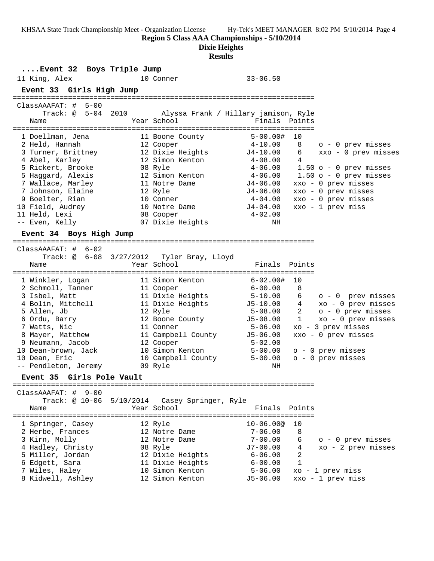**Region 5 Class AAA Championships - 5/10/2014**

**Dixie Heights**

## **Results**

**....Event 32 Boys Triple Jump** 11 King, Alex 10 Conner 33-06.50 **Event 33 Girls High Jump** ======================================================================= ClassAAAFAT: # 5-00 Track: @ 5-04 2010 Alyssa Frank / Hillary jamison, Ryle Name The School Team School (Finals Points ======================================================================= 1 Doellman, Jena 11 Boone County 5-00.00# 10 2 Held, Hannah 12 Cooper 4-10.00 8 o - 0 prev misses 3 Turner, Brittney 12 Dixie Heights J4-10.00 6 xxo - 0 prev misses 4 Abel, Karley 12 Simon Kenton 4-08.00 4 5 Rickert, Brooke 08 Ryle 4-06.00 1.50 o - 0 prev misses 5 Haggard, Alexis 12 Simon Kenton 4-06.00 1.50 o - 0 prev misses 7 Wallace, Marley 11 Notre Dame J4-06.00 xxo - 0 prev misses 7 Johnson, Elaine 12 Ryle J4-06.00 xxo - 0 prev misses 9 Boelter, Rian 10 Conner 4-04.00 xxo - 0 prev misses 10 Field, Audrey 10 Notre Dame J4-04.00 xxo - 1 prev miss 11 Held, Lexi 08 Cooper 4-02.00 -- Even, Kelly 07 Dixie Heights NH **Event 34 Boys High Jump** ======================================================================= ClassAAAFAT: # 6-02 Track: @ 6-08 3/27/2012 Tyler Bray, Lloyd Name Year School Finals Points ======================================================================= 1 Winkler, Logan 11 Simon Kenton 6-02.00# 10 2 Schmoll, Tanner 11 Cooper 6-00.00 8 3 Isbel, Matt 11 Dixie Heights 5-10.00 6 o - 0 prev misses 4 Bolin, Mitchell 11 Dixie Heights J5-10.00 4 xo - 0 prev misses 5 Allen, Jb 12 Ryle 5-08.00 2 o - 0 prev misses 6 Ordu, Barry 12 Boone County J5-08.00 1 xo - 0 prev misses 7 Watts, Nic 11 Conner 5-06.00 xo - 3 prev misses 8 Mayer, Matthew 11 Campbell County J5-06.00 xxo - 0 prev misses 9 Neumann, Jacob 12 Cooper 5-02.00 10 Dean-brown, Jack 10 Simon Kenton 5-00.00 o - 0 prev misses 10 Dean, Eric 10 Campbell County 5-00.00 o - 0 prev misses -- Pendleton, Jeremy 09 Ryle NH **Event 35 Girls Pole Vault** ======================================================================= ClassAAAFAT: # 9-00 Track: @ 10-06 5/10/2014 Casey Springer, Ryle Name The Year School Team Points Points ======================================================================= 1 Springer, Casey 12 Ryle 10-06.00@ 10 2 Herbe, Frances 12 Notre Dame 7-06.00 8 3 Kirn, Molly 12 Notre Dame 7-00.00 6 o - 0 prev misses 4 Hadley, Christy 08 Ryle J7-00.00 4 xo - 2 prev misses 5 Miller, Jordan 12 Dixie Heights 6-06.00 2 6 Edgett, Sara 11 Dixie Heights 6-00.00 1 7 Wiles, Haley 10 Simon Kenton 5-06.00 xo - 1 prev miss 8 Kidwell, Ashley 12 Simon Kenton J5-06.00 xxo - 1 prev miss